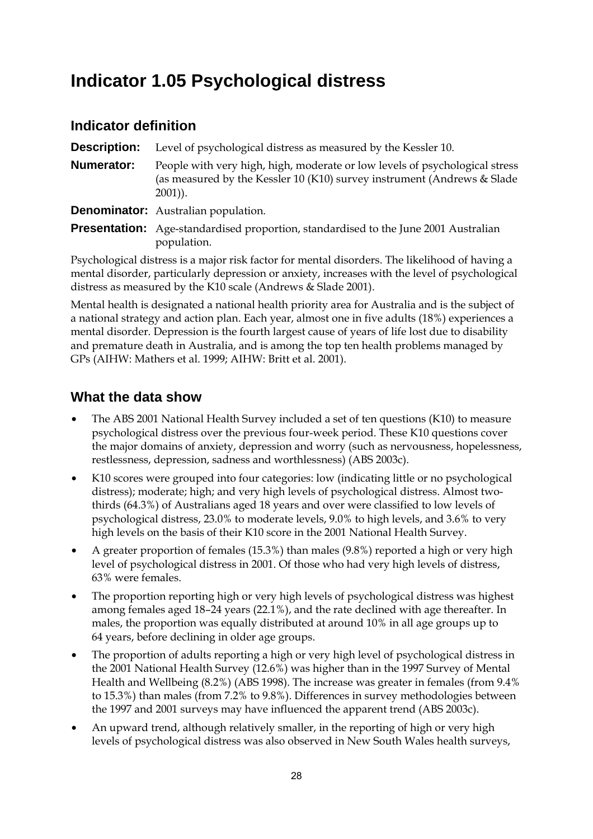# **Indicator 1.05 Psychological distress**

### **Indicator definition**

**Description:** Level of psychological distress as measured by the Kessler 10. **Numerator:** People with very high, high, moderate or low levels of psychological stress (as measured by the Kessler 10 (K10) survey instrument (Andrews & Slade 2001)).

**Denominator:** Australian population.

**Presentation:** Age-standardised proportion, standardised to the June 2001 Australian population.

Psychological distress is a major risk factor for mental disorders. The likelihood of having a mental disorder, particularly depression or anxiety, increases with the level of psychological distress as measured by the K10 scale (Andrews & Slade 2001).

Mental health is designated a national health priority area for Australia and is the subject of a national strategy and action plan. Each year, almost one in five adults (18%) experiences a mental disorder. Depression is the fourth largest cause of years of life lost due to disability and premature death in Australia, and is among the top ten health problems managed by GPs (AIHW: Mathers et al. 1999; AIHW: Britt et al. 2001).

- The ABS 2001 National Health Survey included a set of ten questions (K10) to measure psychological distress over the previous four-week period. These K10 questions cover the major domains of anxiety, depression and worry (such as nervousness, hopelessness, restlessness, depression, sadness and worthlessness) (ABS 2003c).
- K10 scores were grouped into four categories: low (indicating little or no psychological distress); moderate; high; and very high levels of psychological distress. Almost twothirds (64.3%) of Australians aged 18 years and over were classified to low levels of psychological distress, 23.0% to moderate levels, 9.0% to high levels, and 3.6% to very high levels on the basis of their K10 score in the 2001 National Health Survey.
- A greater proportion of females (15.3%) than males (9.8%) reported a high or very high level of psychological distress in 2001. Of those who had very high levels of distress, 63% were females.
- The proportion reporting high or very high levels of psychological distress was highest among females aged 18–24 years (22.1%), and the rate declined with age thereafter. In males, the proportion was equally distributed at around 10% in all age groups up to 64 years, before declining in older age groups.
- The proportion of adults reporting a high or very high level of psychological distress in the 2001 National Health Survey (12.6%) was higher than in the 1997 Survey of Mental Health and Wellbeing (8.2%) (ABS 1998). The increase was greater in females (from 9.4% to 15.3%) than males (from 7.2% to 9.8%). Differences in survey methodologies between the 1997 and 2001 surveys may have influenced the apparent trend (ABS 2003c).
- An upward trend, although relatively smaller, in the reporting of high or very high levels of psychological distress was also observed in New South Wales health surveys,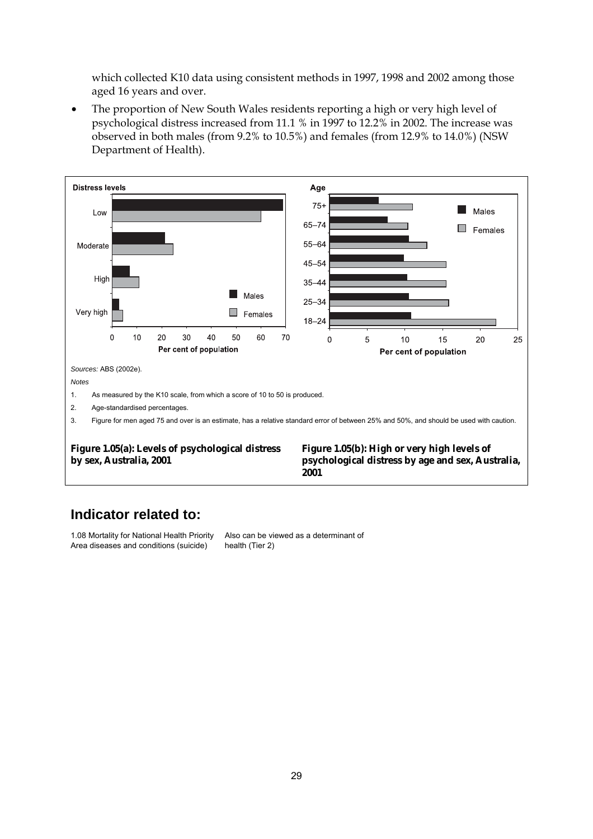which collected K10 data using consistent methods in 1997, 1998 and 2002 among those aged 16 years and over.

• The proportion of New South Wales residents reporting a high or very high level of psychological distress increased from 11.1 % in 1997 to 12.2% in 2002. The increase was observed in both males (from 9.2% to 10.5%) and females (from 12.9% to 14.0%) (NSW Department of Health).



### **Indicator related to:**

1.08 Mortality for National Health Priority Area diseases and conditions (suicide)

Also can be viewed as a determinant of health (Tier 2)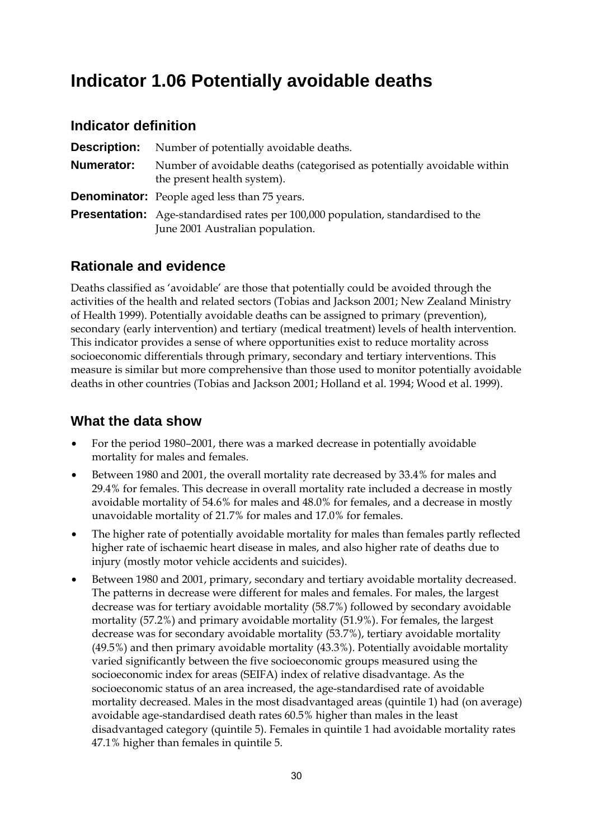# **Indicator 1.06 Potentially avoidable deaths**

### **Indicator definition**

| <b>Description:</b> | Number of potentially avoidable deaths.                                                                                     |
|---------------------|-----------------------------------------------------------------------------------------------------------------------------|
| Numerator:          | Number of avoidable deaths (categorised as potentially avoidable within<br>the present health system).                      |
|                     | <b>Denominator:</b> People aged less than 75 years.                                                                         |
|                     | <b>Presentation:</b> Age-standardised rates per 100,000 population, standardised to the<br>June 2001 Australian population. |

### **Rationale and evidence**

Deaths classified as 'avoidable' are those that potentially could be avoided through the activities of the health and related sectors (Tobias and Jackson 2001; New Zealand Ministry of Health 1999). Potentially avoidable deaths can be assigned to primary (prevention), secondary (early intervention) and tertiary (medical treatment) levels of health intervention. This indicator provides a sense of where opportunities exist to reduce mortality across socioeconomic differentials through primary, secondary and tertiary interventions. This measure is similar but more comprehensive than those used to monitor potentially avoidable deaths in other countries (Tobias and Jackson 2001; Holland et al. 1994; Wood et al. 1999).

- For the period 1980–2001, there was a marked decrease in potentially avoidable mortality for males and females.
- Between 1980 and 2001, the overall mortality rate decreased by 33.4% for males and 29.4% for females. This decrease in overall mortality rate included a decrease in mostly avoidable mortality of 54.6% for males and 48.0% for females, and a decrease in mostly unavoidable mortality of 21.7% for males and 17.0% for females.
- The higher rate of potentially avoidable mortality for males than females partly reflected higher rate of ischaemic heart disease in males, and also higher rate of deaths due to injury (mostly motor vehicle accidents and suicides).
- Between 1980 and 2001, primary, secondary and tertiary avoidable mortality decreased. The patterns in decrease were different for males and females. For males, the largest decrease was for tertiary avoidable mortality (58.7%) followed by secondary avoidable mortality (57.2%) and primary avoidable mortality (51.9%). For females, the largest decrease was for secondary avoidable mortality (53.7%), tertiary avoidable mortality (49.5%) and then primary avoidable mortality (43.3%). Potentially avoidable mortality varied significantly between the five socioeconomic groups measured using the socioeconomic index for areas (SEIFA) index of relative disadvantage. As the socioeconomic status of an area increased, the age-standardised rate of avoidable mortality decreased. Males in the most disadvantaged areas (quintile 1) had (on average) avoidable age-standardised death rates 60.5% higher than males in the least disadvantaged category (quintile 5). Females in quintile 1 had avoidable mortality rates 47.1% higher than females in quintile 5.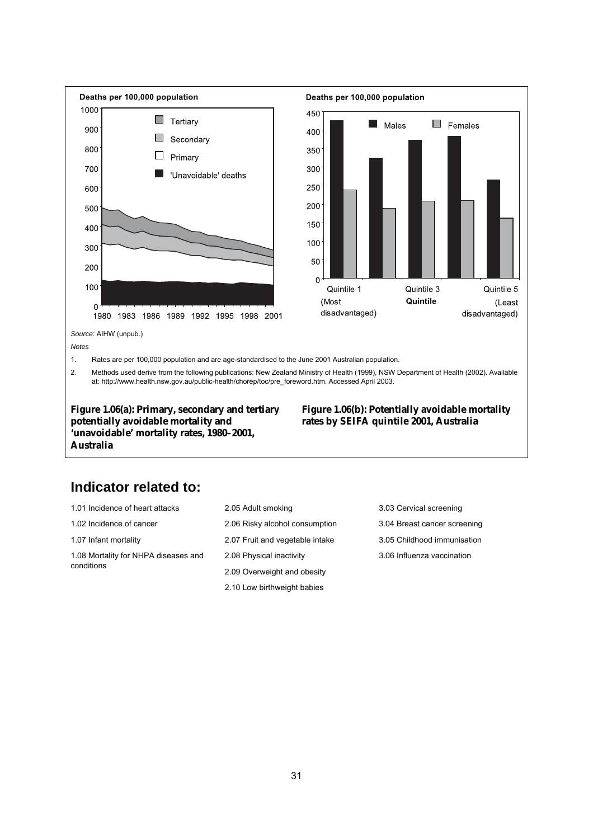

**Figure 1.06(a): Primary, secondary and tertiary potentially avoidable mortality and 'unavoidable' mortality rates, 1980–2001, Australia**

**Figure 1.06(b): Potentially avoidable mortality rates by SEIFA quintile 2001, Australia**

### **Indicator related to:**

| 1.01 Incidence of heart attacks      | 2.05 Adult smoking              | 3.03 Cervical screening      |
|--------------------------------------|---------------------------------|------------------------------|
| 1.02 Incidence of cancer             | 2.06 Risky alcohol consumption  | 3.04 Breast cancer screening |
| 1.07 Infant mortality                | 2.07 Fruit and vegetable intake | 3.05 Childhood immunisation  |
| 1.08 Mortality for NHPA diseases and | 2.08 Physical inactivity        | 3.06 Influenza vaccination   |
| conditions                           | 2.09 Overweight and obesity     |                              |
|                                      | 2.10 Low birthweight babies     |                              |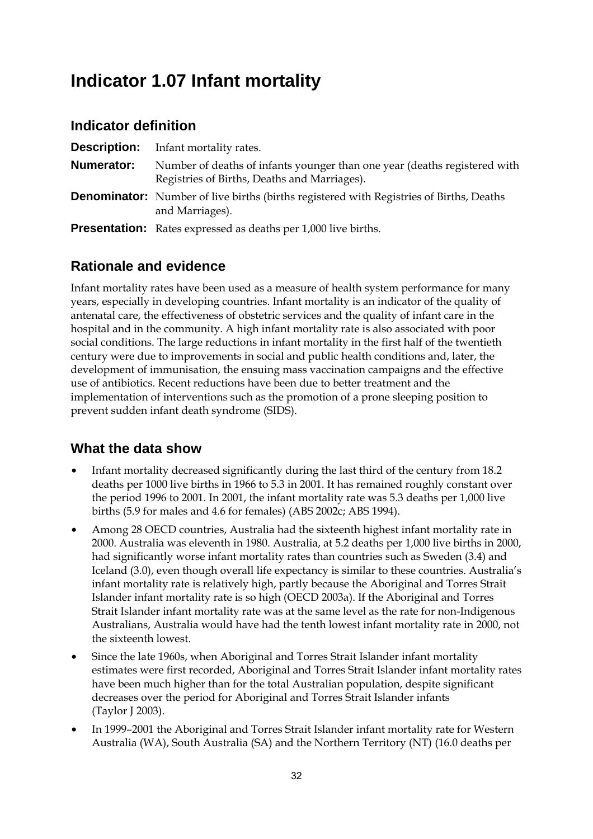# **Indicator 1.07 Infant mortality**

### **Indicator definition**

| <b>Description:</b> | Infant mortality rates.                                                                                                   |
|---------------------|---------------------------------------------------------------------------------------------------------------------------|
| <b>Numerator:</b>   | Number of deaths of infants younger than one year (deaths registered with<br>Registries of Births, Deaths and Marriages). |
|                     | <b>Denominator:</b> Number of live births (births registered with Registries of Births, Deaths<br>and Marriages).         |
|                     | <b>Presentation:</b> Rates expressed as deaths per 1,000 live births.                                                     |

## **Rationale and evidence**

Infant mortality rates have been used as a measure of health system performance for many years, especially in developing countries. Infant mortality is an indicator of the quality of antenatal care, the effectiveness of obstetric services and the quality of infant care in the hospital and in the community. A high infant mortality rate is also associated with poor social conditions. The large reductions in infant mortality in the first half of the twentieth century were due to improvements in social and public health conditions and, later, the development of immunisation, the ensuing mass vaccination campaigns and the effective use of antibiotics. Recent reductions have been due to better treatment and the implementation of interventions such as the promotion of a prone sleeping position to prevent sudden infant death syndrome (SIDS).

- Infant mortality decreased significantly during the last third of the century from 18.2 deaths per 1000 live births in 1966 to 5.3 in 2001. It has remained roughly constant over the period 1996 to 2001. In 2001, the infant mortality rate was 5.3 deaths per 1,000 live births (5.9 for males and 4.6 for females) (ABS 2002c; ABS 1994).
- Among 28 OECD countries, Australia had the sixteenth highest infant mortality rate in 2000. Australia was eleventh in 1980. Australia, at 5.2 deaths per 1,000 live births in 2000, had significantly worse infant mortality rates than countries such as Sweden (3.4) and Iceland (3.0), even though overall life expectancy is similar to these countries. Australia's infant mortality rate is relatively high, partly because the Aboriginal and Torres Strait Islander infant mortality rate is so high (OECD 2003a). If the Aboriginal and Torres Strait Islander infant mortality rate was at the same level as the rate for non-Indigenous Australians, Australia would have had the tenth lowest infant mortality rate in 2000, not the sixteenth lowest.
- Since the late 1960s, when Aboriginal and Torres Strait Islander infant mortality estimates were first recorded, Aboriginal and Torres Strait Islander infant mortality rates have been much higher than for the total Australian population, despite significant decreases over the period for Aboriginal and Torres Strait Islander infants (Taylor J 2003).
- In 1999–2001 the Aboriginal and Torres Strait Islander infant mortality rate for Western Australia (WA), South Australia (SA) and the Northern Territory (NT) (16.0 deaths per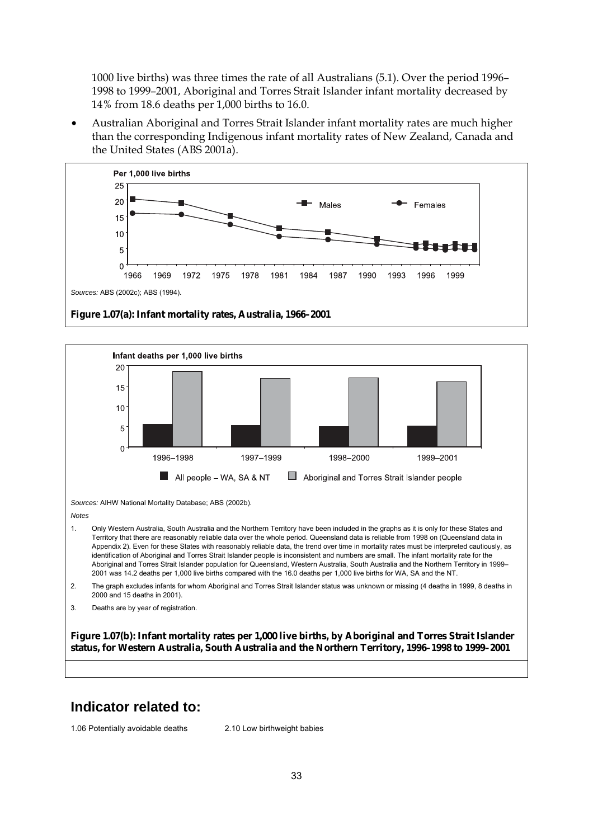1000 live births) was three times the rate of all Australians (5.1). Over the period 1996– 1998 to 1999–2001, Aboriginal and Torres Strait Islander infant mortality decreased by 14% from 18.6 deaths per 1,000 births to 16.0.

• Australian Aboriginal and Torres Strait Islander infant mortality rates are much higher than the corresponding Indigenous infant mortality rates of New Zealand, Canada and the United States (ABS 2001a).





#### **Indicator related to:**

1.06 Potentially avoidable deaths 2.10 Low birthweight babies

33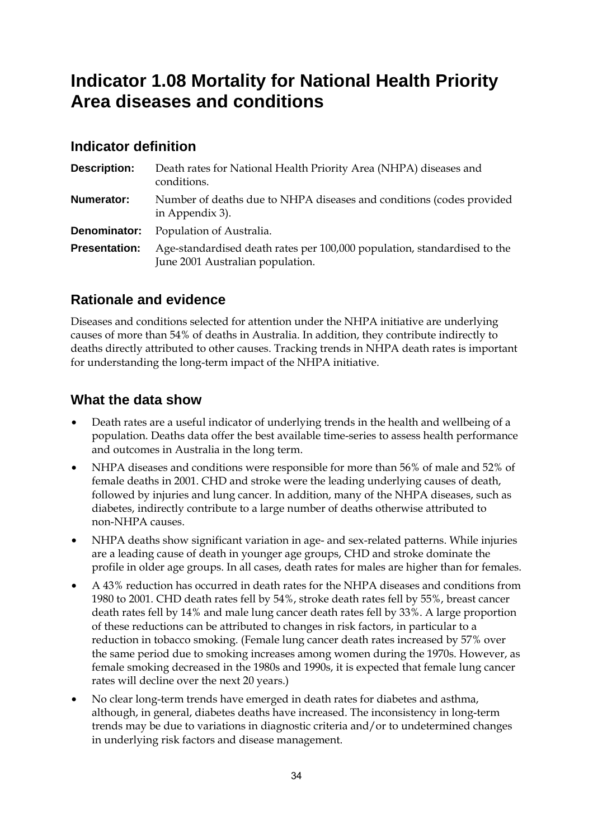# **Indicator 1.08 Mortality for National Health Priority Area diseases and conditions**

## **Indicator definition**

| <b>Description:</b>  | Death rates for National Health Priority Area (NHPA) diseases and<br>conditions.                             |
|----------------------|--------------------------------------------------------------------------------------------------------------|
| <b>Numerator:</b>    | Number of deaths due to NHPA diseases and conditions (codes provided<br>in Appendix 3).                      |
| Denominator:         | Population of Australia.                                                                                     |
| <b>Presentation:</b> | Age-standardised death rates per 100,000 population, standardised to the<br>June 2001 Australian population. |

# **Rationale and evidence**

Diseases and conditions selected for attention under the NHPA initiative are underlying causes of more than 54% of deaths in Australia. In addition, they contribute indirectly to deaths directly attributed to other causes. Tracking trends in NHPA death rates is important for understanding the long-term impact of the NHPA initiative.

- Death rates are a useful indicator of underlying trends in the health and wellbeing of a population. Deaths data offer the best available time-series to assess health performance and outcomes in Australia in the long term.
- NHPA diseases and conditions were responsible for more than 56% of male and 52% of female deaths in 2001. CHD and stroke were the leading underlying causes of death, followed by injuries and lung cancer. In addition, many of the NHPA diseases, such as diabetes, indirectly contribute to a large number of deaths otherwise attributed to non-NHPA causes.
- NHPA deaths show significant variation in age- and sex-related patterns. While injuries are a leading cause of death in younger age groups, CHD and stroke dominate the profile in older age groups. In all cases, death rates for males are higher than for females.
- A 43% reduction has occurred in death rates for the NHPA diseases and conditions from 1980 to 2001. CHD death rates fell by 54%, stroke death rates fell by 55%, breast cancer death rates fell by 14% and male lung cancer death rates fell by 33%. A large proportion of these reductions can be attributed to changes in risk factors, in particular to a reduction in tobacco smoking. (Female lung cancer death rates increased by 57% over the same period due to smoking increases among women during the 1970s. However, as female smoking decreased in the 1980s and 1990s, it is expected that female lung cancer rates will decline over the next 20 years.)
- No clear long-term trends have emerged in death rates for diabetes and asthma, although, in general, diabetes deaths have increased. The inconsistency in long-term trends may be due to variations in diagnostic criteria and/or to undetermined changes in underlying risk factors and disease management.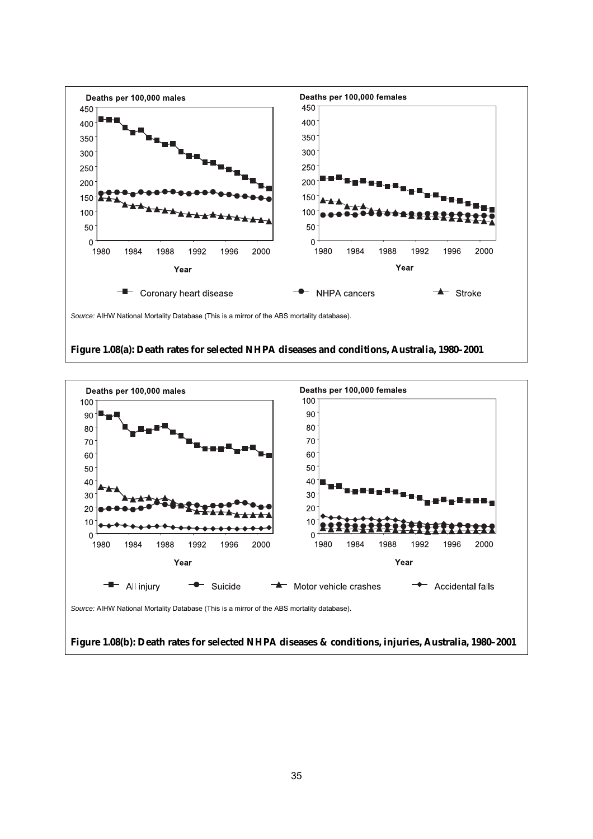